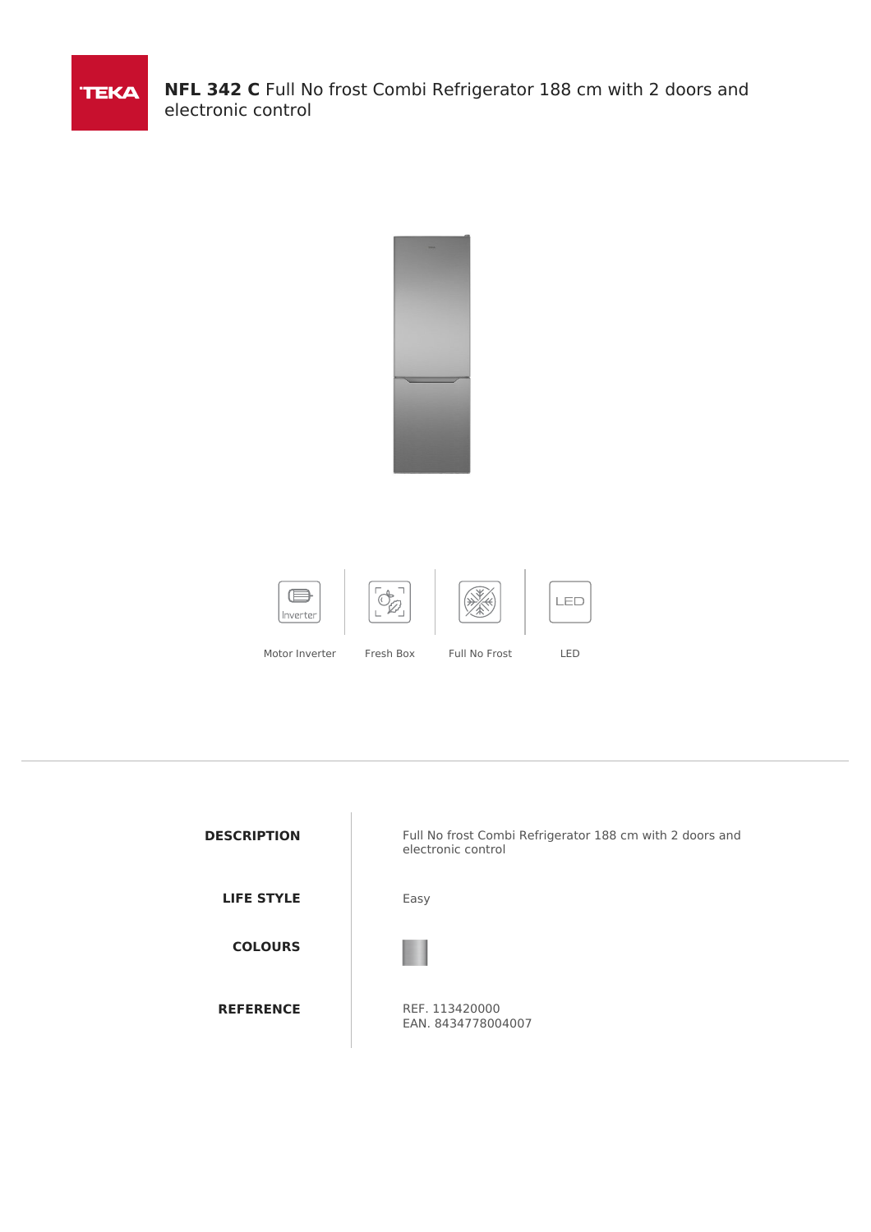

**NFL 342 C** Full No frost Combi Refrigerator 188 cm with 2 doors and electronic control



| <b>DESCRIPTION</b> | Full No frost Combi Refrigerator 188 cm with 2 doors and<br>electronic control |
|--------------------|--------------------------------------------------------------------------------|
| <b>LIFE STYLE</b>  | Easy                                                                           |
| <b>COLOURS</b>     |                                                                                |
| <b>REFERENCE</b>   | REF. 113420000<br>EAN. 8434778004007                                           |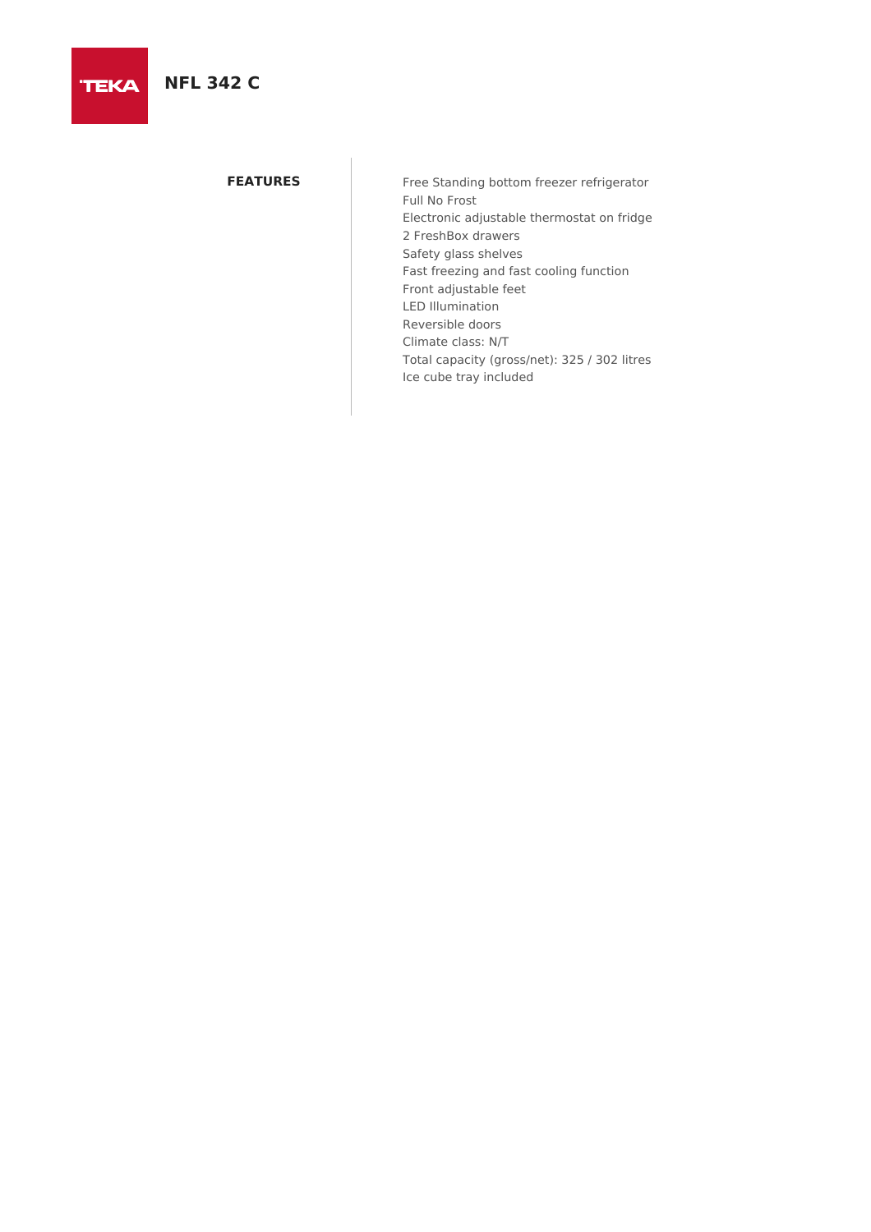# **NFL 342 C**

**TEKA** 

**FEATURES** Free Standing bottom freezer refrigerator Full No Frost Electronic adjustable thermostat on fridge 2 FreshBox drawers Safety glass shelves Fast freezing and fast cooling function Front adjustable feet LED Illumination Reversible doors Climate class: N/T Total capacity (gross/net): 325 / 302 litres Ice cube tray included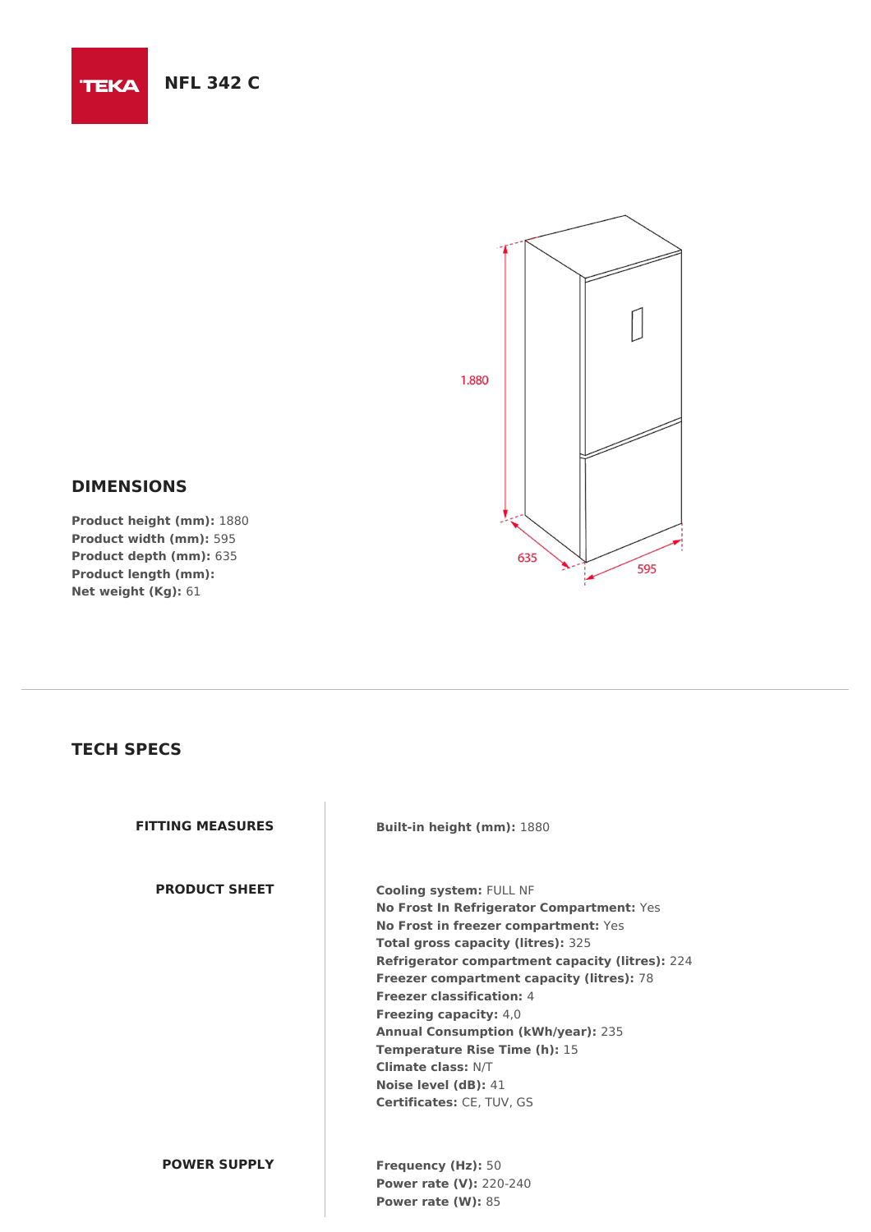**TEKA** 



# **DIMENSIONS**

**Product height (mm):** 1880 **Product width (mm):** 595 **Product depth (mm):** 635 **Product length (mm): Net weight (Kg):** 61

## **TECH SPECS**

**PRODUCT SHEET Cooling system:** FULL NF

**FITTING MEASURES Built-in height (mm):** 1880

**No Frost In Refrigerator Compartment:** Yes **No Frost in freezer compartment:** Yes **Total gross capacity (litres):** 325 **Refrigerator compartment capacity (litres):** 224 **Freezer compartment capacity (litres):** 78 **Freezer classification:** 4 **Freezing capacity:** 4,0 **Annual Consumption (kWh/year):** 235 **Temperature Rise Time (h):** 15 **Climate class:** N/T **Noise level (dB):** 41 **Certificates:** CE, TUV, GS

### **POWER SUPPLY Frequency (Hz):** 50

**Power rate (V):** 220-240 **Power rate (W):** 85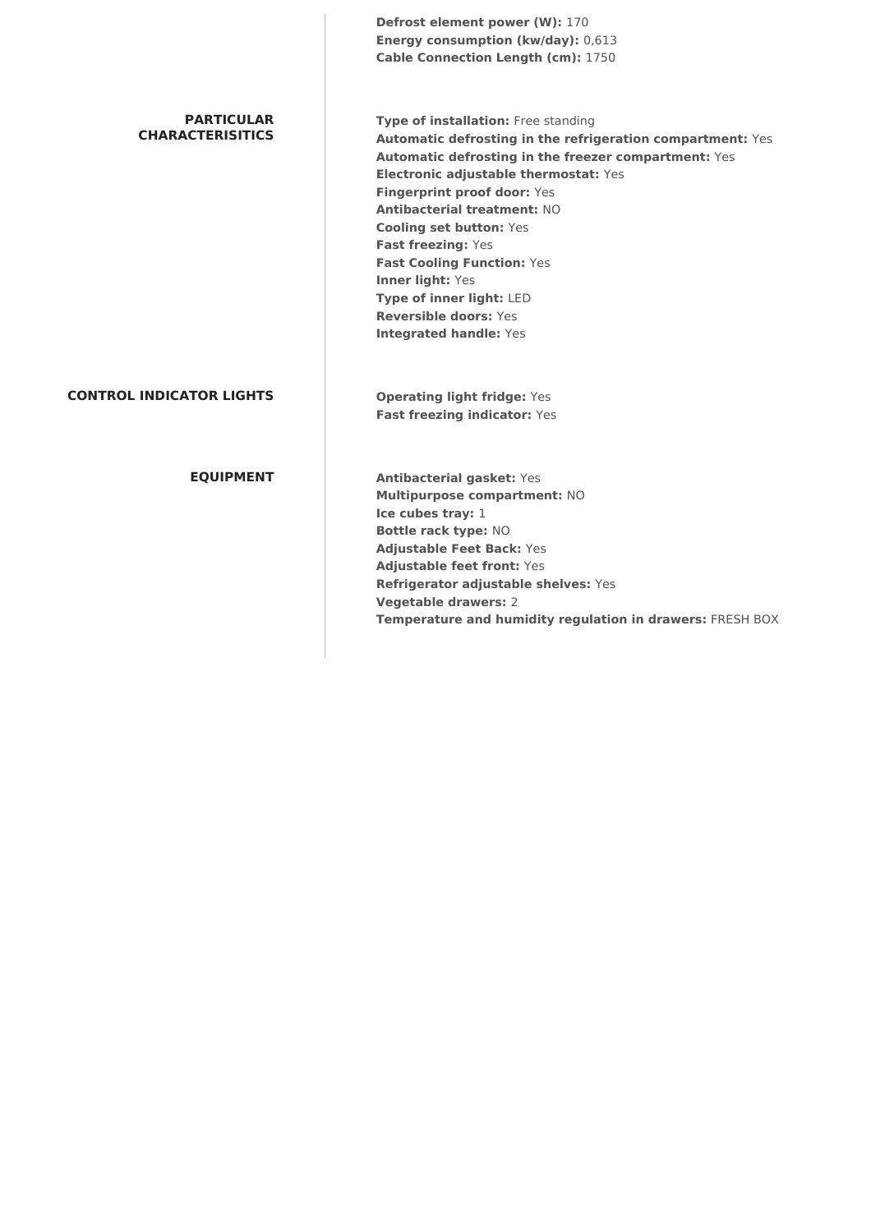**Defrost element power (W):** 170 **Energy consumption (kw/day):** 0,613 **Cable Connection Length (cm):** 1750

#### **PARTICULAR CHARACTERISITICS**

**Type of installation:** Free standing **Automatic defrosting in the refrigeration compartment:** Yes **Automatic defrosting in the freezer compartment:** Yes **Electronic adjustable thermostat:** Yes **Fingerprint proof door:** Yes **Antibacterial treatment:** NO **Cooling set button:** Yes **Fast freezing:** Yes **Fast Cooling Function:** Yes **Inner light:** Yes **Type of inner light:** LED **Reversible doors:** Yes **Integrated handle:** Yes

### **CONTROL INDICATOR LIGHTS Operating light fridge:** Yes

**Fast freezing indicator:** Yes

**EQUIPMENT Antibacterial gasket:** Yes **Multipurpose compartment:** NO **Ice cubes tray:** 1 **Bottle rack type:** NO **Adjustable Feet Back:** Yes **Adjustable feet front:** Yes **Refrigerator adjustable shelves:** Yes **Vegetable drawers:** 2 **Temperature and humidity regulation in drawers:** FRESH BOX